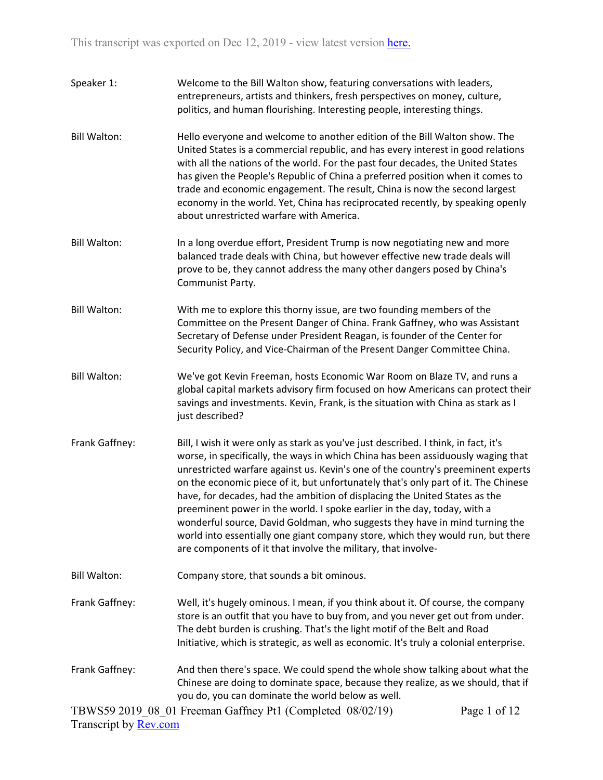| Speaker 1:            | Welcome to the Bill Walton show, featuring conversations with leaders,<br>entrepreneurs, artists and thinkers, fresh perspectives on money, culture,<br>politics, and human flourishing. Interesting people, interesting things.                                                                                                                                                                                                                                                                                                                                                                                                                                                                                                               |
|-----------------------|------------------------------------------------------------------------------------------------------------------------------------------------------------------------------------------------------------------------------------------------------------------------------------------------------------------------------------------------------------------------------------------------------------------------------------------------------------------------------------------------------------------------------------------------------------------------------------------------------------------------------------------------------------------------------------------------------------------------------------------------|
| <b>Bill Walton:</b>   | Hello everyone and welcome to another edition of the Bill Walton show. The<br>United States is a commercial republic, and has every interest in good relations<br>with all the nations of the world. For the past four decades, the United States<br>has given the People's Republic of China a preferred position when it comes to<br>trade and economic engagement. The result, China is now the second largest<br>economy in the world. Yet, China has reciprocated recently, by speaking openly<br>about unrestricted warfare with America.                                                                                                                                                                                                |
| <b>Bill Walton:</b>   | In a long overdue effort, President Trump is now negotiating new and more<br>balanced trade deals with China, but however effective new trade deals will<br>prove to be, they cannot address the many other dangers posed by China's<br>Communist Party.                                                                                                                                                                                                                                                                                                                                                                                                                                                                                       |
| <b>Bill Walton:</b>   | With me to explore this thorny issue, are two founding members of the<br>Committee on the Present Danger of China. Frank Gaffney, who was Assistant<br>Secretary of Defense under President Reagan, is founder of the Center for<br>Security Policy, and Vice-Chairman of the Present Danger Committee China.                                                                                                                                                                                                                                                                                                                                                                                                                                  |
| <b>Bill Walton:</b>   | We've got Kevin Freeman, hosts Economic War Room on Blaze TV, and runs a<br>global capital markets advisory firm focused on how Americans can protect their<br>savings and investments. Kevin, Frank, is the situation with China as stark as I<br>just described?                                                                                                                                                                                                                                                                                                                                                                                                                                                                             |
| Frank Gaffney:        | Bill, I wish it were only as stark as you've just described. I think, in fact, it's<br>worse, in specifically, the ways in which China has been assiduously waging that<br>unrestricted warfare against us. Kevin's one of the country's preeminent experts<br>on the economic piece of it, but unfortunately that's only part of it. The Chinese<br>have, for decades, had the ambition of displacing the United States as the<br>preeminent power in the world. I spoke earlier in the day, today, with a<br>wonderful source, David Goldman, who suggests they have in mind turning the<br>world into essentially one giant company store, which they would run, but there<br>are components of it that involve the military, that involve- |
| <b>Bill Walton:</b>   | Company store, that sounds a bit ominous.                                                                                                                                                                                                                                                                                                                                                                                                                                                                                                                                                                                                                                                                                                      |
| Frank Gaffney:        | Well, it's hugely ominous. I mean, if you think about it. Of course, the company<br>store is an outfit that you have to buy from, and you never get out from under.<br>The debt burden is crushing. That's the light motif of the Belt and Road<br>Initiative, which is strategic, as well as economic. It's truly a colonial enterprise.                                                                                                                                                                                                                                                                                                                                                                                                      |
| Frank Gaffney:        | And then there's space. We could spend the whole show talking about what the<br>Chinese are doing to dominate space, because they realize, as we should, that if<br>you do, you can dominate the world below as well.                                                                                                                                                                                                                                                                                                                                                                                                                                                                                                                          |
| Transcript by Rev.com | TBWS59 2019 08 01 Freeman Gaffney Pt1 (Completed 08/02/19)<br>Page 1 of 12                                                                                                                                                                                                                                                                                                                                                                                                                                                                                                                                                                                                                                                                     |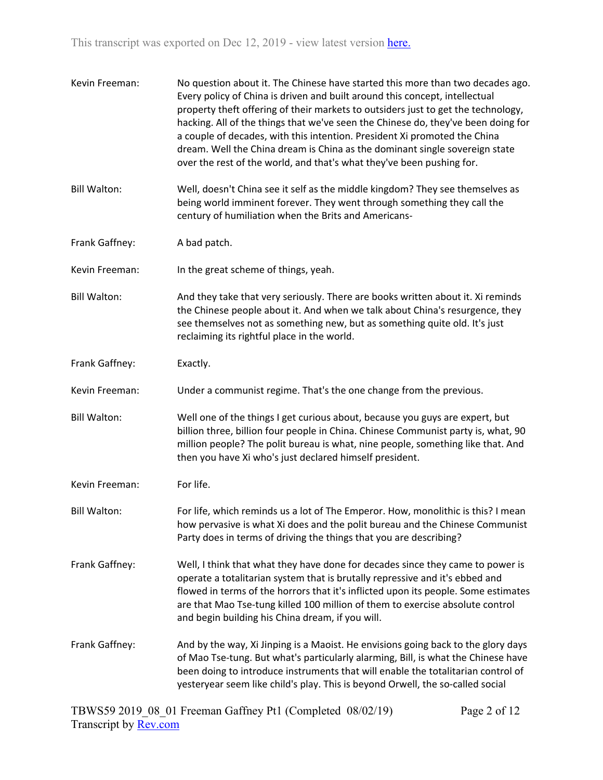| Kevin Freeman:      | No question about it. The Chinese have started this more than two decades ago.<br>Every policy of China is driven and built around this concept, intellectual<br>property theft offering of their markets to outsiders just to get the technology,<br>hacking. All of the things that we've seen the Chinese do, they've been doing for<br>a couple of decades, with this intention. President Xi promoted the China<br>dream. Well the China dream is China as the dominant single sovereign state<br>over the rest of the world, and that's what they've been pushing for. |
|---------------------|------------------------------------------------------------------------------------------------------------------------------------------------------------------------------------------------------------------------------------------------------------------------------------------------------------------------------------------------------------------------------------------------------------------------------------------------------------------------------------------------------------------------------------------------------------------------------|
| <b>Bill Walton:</b> | Well, doesn't China see it self as the middle kingdom? They see themselves as<br>being world imminent forever. They went through something they call the<br>century of humiliation when the Brits and Americans-                                                                                                                                                                                                                                                                                                                                                             |
| Frank Gaffney:      | A bad patch.                                                                                                                                                                                                                                                                                                                                                                                                                                                                                                                                                                 |
| Kevin Freeman:      | In the great scheme of things, yeah.                                                                                                                                                                                                                                                                                                                                                                                                                                                                                                                                         |
| <b>Bill Walton:</b> | And they take that very seriously. There are books written about it. Xi reminds<br>the Chinese people about it. And when we talk about China's resurgence, they<br>see themselves not as something new, but as something quite old. It's just<br>reclaiming its rightful place in the world.                                                                                                                                                                                                                                                                                 |
| Frank Gaffney:      | Exactly.                                                                                                                                                                                                                                                                                                                                                                                                                                                                                                                                                                     |
| Kevin Freeman:      | Under a communist regime. That's the one change from the previous.                                                                                                                                                                                                                                                                                                                                                                                                                                                                                                           |
| <b>Bill Walton:</b> | Well one of the things I get curious about, because you guys are expert, but<br>billion three, billion four people in China. Chinese Communist party is, what, 90<br>million people? The polit bureau is what, nine people, something like that. And<br>then you have Xi who's just declared himself president.                                                                                                                                                                                                                                                              |
| Kevin Freeman:      | For life.                                                                                                                                                                                                                                                                                                                                                                                                                                                                                                                                                                    |
| <b>Bill Walton:</b> | For life, which reminds us a lot of The Emperor. How, monolithic is this? I mean<br>how pervasive is what Xi does and the polit bureau and the Chinese Communist<br>Party does in terms of driving the things that you are describing?                                                                                                                                                                                                                                                                                                                                       |
| Frank Gaffney:      | Well, I think that what they have done for decades since they came to power is<br>operate a totalitarian system that is brutally repressive and it's ebbed and<br>flowed in terms of the horrors that it's inflicted upon its people. Some estimates<br>are that Mao Tse-tung killed 100 million of them to exercise absolute control<br>and begin building his China dream, if you will.                                                                                                                                                                                    |
| Frank Gaffney:      | And by the way, Xi Jinping is a Maoist. He envisions going back to the glory days<br>of Mao Tse-tung. But what's particularly alarming, Bill, is what the Chinese have<br>been doing to introduce instruments that will enable the totalitarian control of<br>yesteryear seem like child's play. This is beyond Orwell, the so-called social                                                                                                                                                                                                                                 |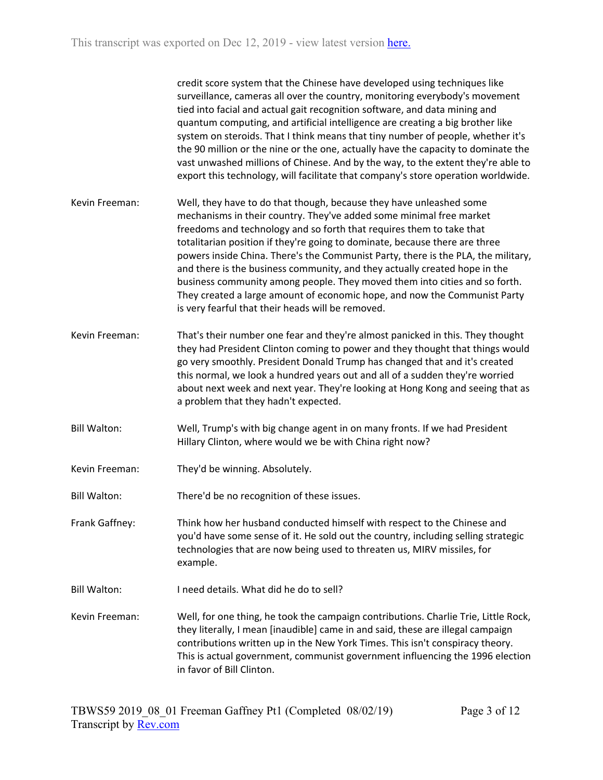credit score system that the Chinese have developed using techniques like surveillance, cameras all over the country, monitoring everybody's movement tied into facial and actual gait recognition software, and data mining and quantum computing, and artificial intelligence are creating a big brother like system on steroids. That I think means that tiny number of people, whether it's the 90 million or the nine or the one, actually have the capacity to dominate the vast unwashed millions of Chinese. And by the way, to the extent they're able to export this technology, will facilitate that company's store operation worldwide.

- Kevin Freeman: Well, they have to do that though, because they have unleashed some mechanisms in their country. They've added some minimal free market freedoms and technology and so forth that requires them to take that totalitarian position if they're going to dominate, because there are three powers inside China. There's the Communist Party, there is the PLA, the military, and there is the business community, and they actually created hope in the business community among people. They moved them into cities and so forth. They created a large amount of economic hope, and now the Communist Party is very fearful that their heads will be removed.
- Kevin Freeman: That's their number one fear and they're almost panicked in this. They thought they had President Clinton coming to power and they thought that things would go very smoothly. President Donald Trump has changed that and it's created this normal, we look a hundred years out and all of a sudden they're worried about next week and next year. They're looking at Hong Kong and seeing that as a problem that they hadn't expected.
- Bill Walton: Well, Trump's with big change agent in on many fronts. If we had President Hillary Clinton, where would we be with China right now?
- Kevin Freeman: They'd be winning. Absolutely.
- Bill Walton: There'd be no recognition of these issues.

Frank Gaffney: Think how her husband conducted himself with respect to the Chinese and you'd have some sense of it. He sold out the country, including selling strategic technologies that are now being used to threaten us, MIRV missiles, for example.

Bill Walton: I need details. What did he do to sell?

Kevin Freeman: Well, for one thing, he took the campaign contributions. Charlie Trie, Little Rock, they literally, I mean [inaudible] came in and said, these are illegal campaign contributions written up in the New York Times. This isn't conspiracy theory. This is actual government, communist government influencing the 1996 election in favor of Bill Clinton.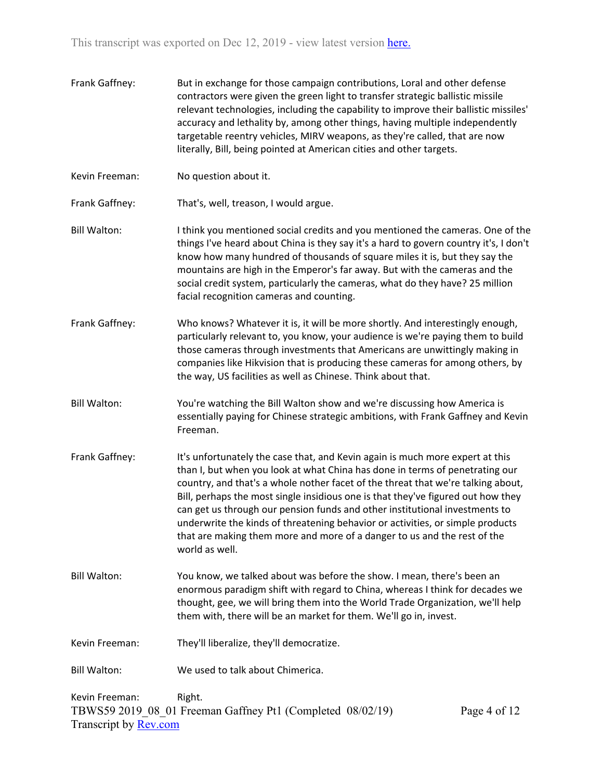- Frank Gaffney: But in exchange for those campaign contributions, Loral and other defense contractors were given the green light to transfer strategic ballistic missile relevant technologies, including the capability to improve their ballistic missiles' accuracy and lethality by, among other things, having multiple independently targetable reentry vehicles, MIRV weapons, as they're called, that are now literally, Bill, being pointed at American cities and other targets.
- Kevin Freeman: No question about it.
- Frank Gaffney: That's, well, treason, I would argue.
- Bill Walton: I think you mentioned social credits and you mentioned the cameras. One of the things I've heard about China is they say it's a hard to govern country it's, I don't know how many hundred of thousands of square miles it is, but they say the mountains are high in the Emperor's far away. But with the cameras and the social credit system, particularly the cameras, what do they have? 25 million facial recognition cameras and counting.
- Frank Gaffney: Who knows? Whatever it is, it will be more shortly. And interestingly enough, particularly relevant to, you know, your audience is we're paying them to build those cameras through investments that Americans are unwittingly making in companies like Hikvision that is producing these cameras for among others, by the way, US facilities as well as Chinese. Think about that.
- Bill Walton: You're watching the Bill Walton show and we're discussing how America is essentially paying for Chinese strategic ambitions, with Frank Gaffney and Kevin Freeman.
- Frank Gaffney: It's unfortunately the case that, and Kevin again is much more expert at this than I, but when you look at what China has done in terms of penetrating our country, and that's a whole nother facet of the threat that we're talking about, Bill, perhaps the most single insidious one is that they've figured out how they can get us through our pension funds and other institutional investments to underwrite the kinds of threatening behavior or activities, or simple products that are making them more and more of a danger to us and the rest of the world as well.
- Bill Walton: You know, we talked about was before the show. I mean, there's been an enormous paradigm shift with regard to China, whereas I think for decades we thought, gee, we will bring them into the World Trade Organization, we'll help them with, there will be an market for them. We'll go in, invest.
- Kevin Freeman: They'll liberalize, they'll democratize.
- Bill Walton: We used to talk about Chimerica.

TBWS59 2019\_08\_01 Freeman Gaffney Pt1 (Completed 08/02/19) Transcript by [Rev.com](https://www.rev.com/) Page 4 of 12 Kevin Freeman: Right.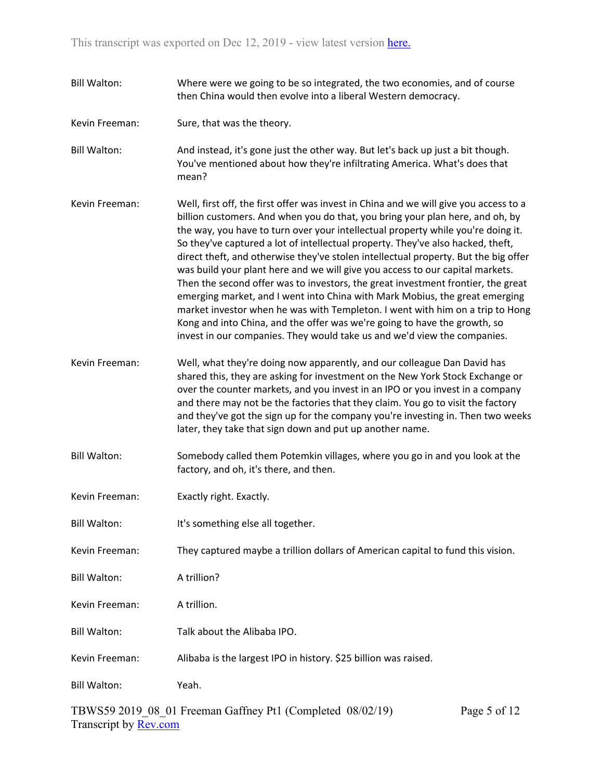Bill Walton: Where were we going to be so integrated, the two economies, and of course then China would then evolve into a liberal Western democracy. Kevin Freeman: Sure, that was the theory. Bill Walton: And instead, it's gone just the other way. But let's back up just a bit though. You've mentioned about how they're infiltrating America. What's does that mean? Kevin Freeman: Well, first off, the first offer was invest in China and we will give you access to a billion customers. And when you do that, you bring your plan here, and oh, by the way, you have to turn over your intellectual property while you're doing it. So they've captured a lot of intellectual property. They've also hacked, theft, direct theft, and otherwise they've stolen intellectual property. But the big offer was build your plant here and we will give you access to our capital markets. Then the second offer was to investors, the great investment frontier, the great emerging market, and I went into China with Mark Mobius, the great emerging market investor when he was with Templeton. I went with him on a trip to Hong Kong and into China, and the offer was we're going to have the growth, so invest in our companies. They would take us and we'd view the companies. Kevin Freeman: Well, what they're doing now apparently, and our colleague Dan David has shared this, they are asking for investment on the New York Stock Exchange or over the counter markets, and you invest in an IPO or you invest in a company and there may not be the factories that they claim. You go to visit the factory and they've got the sign up for the company you're investing in. Then two weeks later, they take that sign down and put up another name. Bill Walton: Somebody called them Potemkin villages, where you go in and you look at the factory, and oh, it's there, and then. Kevin Freeman: Exactly right. Exactly. Bill Walton: It's something else all together. Kevin Freeman: They captured maybe a trillion dollars of American capital to fund this vision. Bill Walton: A trillion? Kevin Freeman: A trillion. Bill Walton: Talk about the Alibaba IPO. Kevin Freeman: Alibaba is the largest IPO in history. \$25 billion was raised. Bill Walton: Yeah.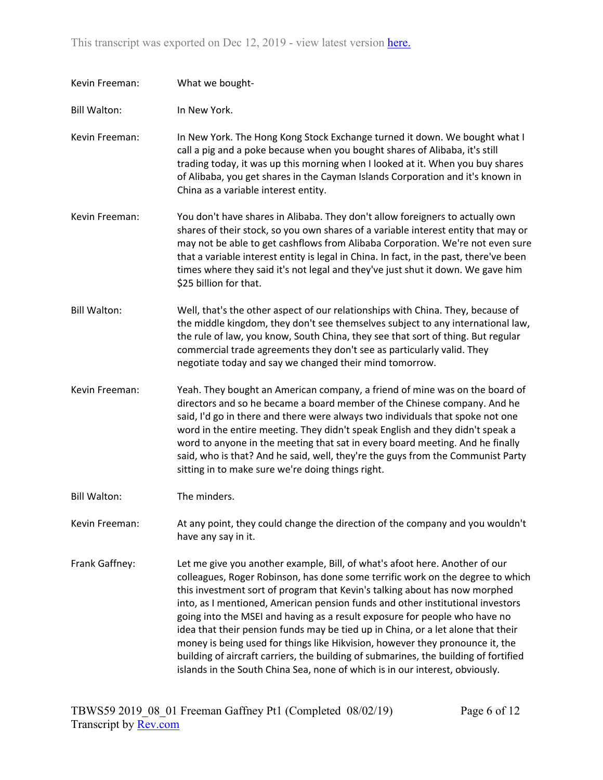| Kevin Freeman:      | What we bought-                                                                                                                                                                                                                                                                                                                                                                                                                                                                                                                                                                                                                                                                                                                                          |
|---------------------|----------------------------------------------------------------------------------------------------------------------------------------------------------------------------------------------------------------------------------------------------------------------------------------------------------------------------------------------------------------------------------------------------------------------------------------------------------------------------------------------------------------------------------------------------------------------------------------------------------------------------------------------------------------------------------------------------------------------------------------------------------|
| <b>Bill Walton:</b> | In New York.                                                                                                                                                                                                                                                                                                                                                                                                                                                                                                                                                                                                                                                                                                                                             |
| Kevin Freeman:      | In New York. The Hong Kong Stock Exchange turned it down. We bought what I<br>call a pig and a poke because when you bought shares of Alibaba, it's still<br>trading today, it was up this morning when I looked at it. When you buy shares<br>of Alibaba, you get shares in the Cayman Islands Corporation and it's known in<br>China as a variable interest entity.                                                                                                                                                                                                                                                                                                                                                                                    |
| Kevin Freeman:      | You don't have shares in Alibaba. They don't allow foreigners to actually own<br>shares of their stock, so you own shares of a variable interest entity that may or<br>may not be able to get cashflows from Alibaba Corporation. We're not even sure<br>that a variable interest entity is legal in China. In fact, in the past, there've been<br>times where they said it's not legal and they've just shut it down. We gave him<br>\$25 billion for that.                                                                                                                                                                                                                                                                                             |
| <b>Bill Walton:</b> | Well, that's the other aspect of our relationships with China. They, because of<br>the middle kingdom, they don't see themselves subject to any international law,<br>the rule of law, you know, South China, they see that sort of thing. But regular<br>commercial trade agreements they don't see as particularly valid. They<br>negotiate today and say we changed their mind tomorrow.                                                                                                                                                                                                                                                                                                                                                              |
| Kevin Freeman:      | Yeah. They bought an American company, a friend of mine was on the board of<br>directors and so he became a board member of the Chinese company. And he<br>said, I'd go in there and there were always two individuals that spoke not one<br>word in the entire meeting. They didn't speak English and they didn't speak a<br>word to anyone in the meeting that sat in every board meeting. And he finally<br>said, who is that? And he said, well, they're the guys from the Communist Party<br>sitting in to make sure we're doing things right.                                                                                                                                                                                                      |
| <b>Bill Walton:</b> | The minders.                                                                                                                                                                                                                                                                                                                                                                                                                                                                                                                                                                                                                                                                                                                                             |
| Kevin Freeman:      | At any point, they could change the direction of the company and you wouldn't<br>have any say in it.                                                                                                                                                                                                                                                                                                                                                                                                                                                                                                                                                                                                                                                     |
| Frank Gaffney:      | Let me give you another example, Bill, of what's afoot here. Another of our<br>colleagues, Roger Robinson, has done some terrific work on the degree to which<br>this investment sort of program that Kevin's talking about has now morphed<br>into, as I mentioned, American pension funds and other institutional investors<br>going into the MSEI and having as a result exposure for people who have no<br>idea that their pension funds may be tied up in China, or a let alone that their<br>money is being used for things like Hikvision, however they pronounce it, the<br>building of aircraft carriers, the building of submarines, the building of fortified<br>islands in the South China Sea, none of which is in our interest, obviously. |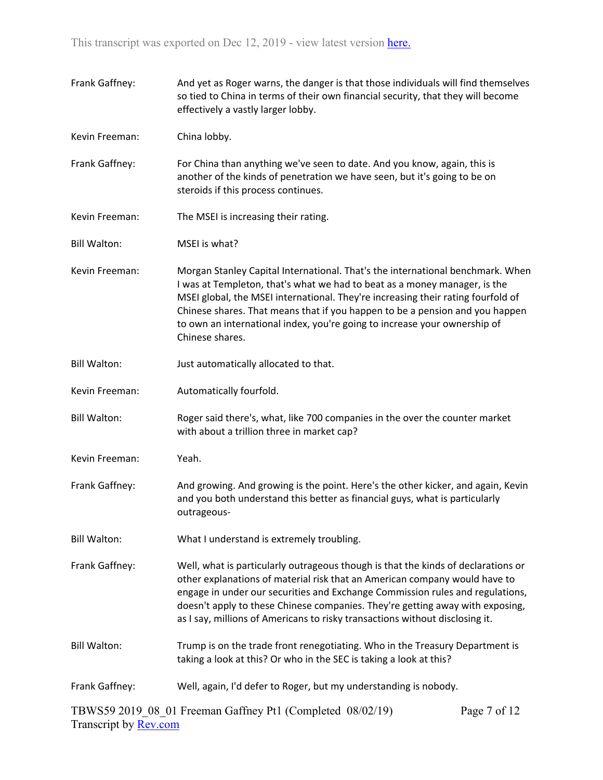| Frank Gaffney:               | And yet as Roger warns, the danger is that those individuals will find themselves<br>so tied to China in terms of their own financial security, that they will become<br>effectively a vastly larger lobby.                                                                                                                                                                                                                     |
|------------------------------|---------------------------------------------------------------------------------------------------------------------------------------------------------------------------------------------------------------------------------------------------------------------------------------------------------------------------------------------------------------------------------------------------------------------------------|
| Kevin Freeman:               | China lobby.                                                                                                                                                                                                                                                                                                                                                                                                                    |
| Frank Gaffney:               | For China than anything we've seen to date. And you know, again, this is<br>another of the kinds of penetration we have seen, but it's going to be on<br>steroids if this process continues.                                                                                                                                                                                                                                    |
| Kevin Freeman:               | The MSEI is increasing their rating.                                                                                                                                                                                                                                                                                                                                                                                            |
| <b>Bill Walton:</b>          | MSEI is what?                                                                                                                                                                                                                                                                                                                                                                                                                   |
| Kevin Freeman:               | Morgan Stanley Capital International. That's the international benchmark. When<br>I was at Templeton, that's what we had to beat as a money manager, is the<br>MSEI global, the MSEI international. They're increasing their rating fourfold of<br>Chinese shares. That means that if you happen to be a pension and you happen<br>to own an international index, you're going to increase your ownership of<br>Chinese shares. |
| <b>Bill Walton:</b>          | Just automatically allocated to that.                                                                                                                                                                                                                                                                                                                                                                                           |
| Kevin Freeman:               | Automatically fourfold.                                                                                                                                                                                                                                                                                                                                                                                                         |
| <b>Bill Walton:</b>          | Roger said there's, what, like 700 companies in the over the counter market<br>with about a trillion three in market cap?                                                                                                                                                                                                                                                                                                       |
| Kevin Freeman:               | Yeah.                                                                                                                                                                                                                                                                                                                                                                                                                           |
| Frank Gaffney:               | And growing. And growing is the point. Here's the other kicker, and again, Kevin<br>and you both understand this better as financial guys, what is particularly<br>outrageous-                                                                                                                                                                                                                                                  |
| <b>Bill Walton:</b>          | What I understand is extremely troubling.                                                                                                                                                                                                                                                                                                                                                                                       |
| Frank Gaffney:               | Well, what is particularly outrageous though is that the kinds of declarations or<br>other explanations of material risk that an American company would have to<br>engage in under our securities and Exchange Commission rules and regulations,<br>doesn't apply to these Chinese companies. They're getting away with exposing,<br>as I say, millions of Americans to risky transactions without disclosing it.               |
| <b>Bill Walton:</b>          | Trump is on the trade front renegotiating. Who in the Treasury Department is<br>taking a look at this? Or who in the SEC is taking a look at this?                                                                                                                                                                                                                                                                              |
| Frank Gaffney:               | Well, again, I'd defer to Roger, but my understanding is nobody.                                                                                                                                                                                                                                                                                                                                                                |
| Transcript by <b>Rev.com</b> | TBWS59 2019 08 01 Freeman Gaffney Pt1 (Completed 08/02/19)<br>Page 7 of 12                                                                                                                                                                                                                                                                                                                                                      |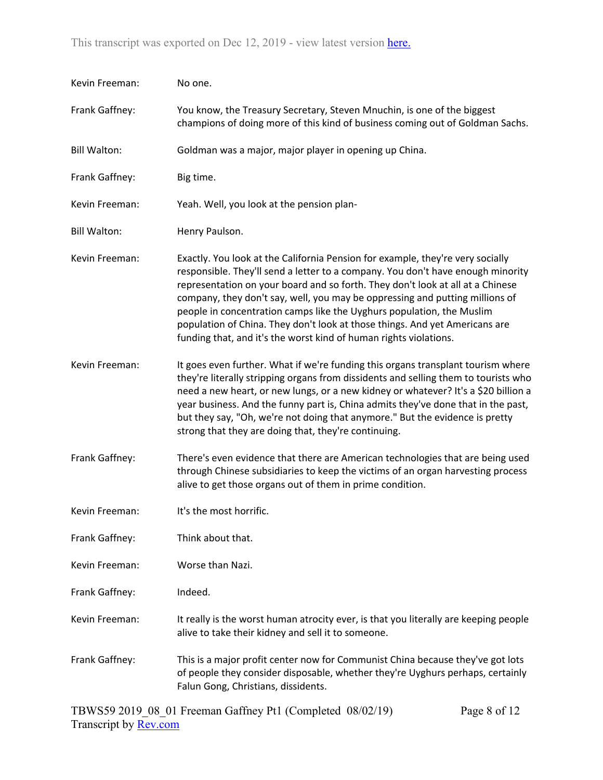| Kevin Freeman:      | No one.                                                                                                                                                                                                                                                                                                                                                                                                                                                                                                                                                          |
|---------------------|------------------------------------------------------------------------------------------------------------------------------------------------------------------------------------------------------------------------------------------------------------------------------------------------------------------------------------------------------------------------------------------------------------------------------------------------------------------------------------------------------------------------------------------------------------------|
| Frank Gaffney:      | You know, the Treasury Secretary, Steven Mnuchin, is one of the biggest<br>champions of doing more of this kind of business coming out of Goldman Sachs.                                                                                                                                                                                                                                                                                                                                                                                                         |
| <b>Bill Walton:</b> | Goldman was a major, major player in opening up China.                                                                                                                                                                                                                                                                                                                                                                                                                                                                                                           |
| Frank Gaffney:      | Big time.                                                                                                                                                                                                                                                                                                                                                                                                                                                                                                                                                        |
| Kevin Freeman:      | Yeah. Well, you look at the pension plan-                                                                                                                                                                                                                                                                                                                                                                                                                                                                                                                        |
| <b>Bill Walton:</b> | Henry Paulson.                                                                                                                                                                                                                                                                                                                                                                                                                                                                                                                                                   |
| Kevin Freeman:      | Exactly. You look at the California Pension for example, they're very socially<br>responsible. They'll send a letter to a company. You don't have enough minority<br>representation on your board and so forth. They don't look at all at a Chinese<br>company, they don't say, well, you may be oppressing and putting millions of<br>people in concentration camps like the Uyghurs population, the Muslim<br>population of China. They don't look at those things. And yet Americans are<br>funding that, and it's the worst kind of human rights violations. |
| Kevin Freeman:      | It goes even further. What if we're funding this organs transplant tourism where<br>they're literally stripping organs from dissidents and selling them to tourists who<br>need a new heart, or new lungs, or a new kidney or whatever? It's a \$20 billion a<br>year business. And the funny part is, China admits they've done that in the past,<br>but they say, "Oh, we're not doing that anymore." But the evidence is pretty<br>strong that they are doing that, they're continuing.                                                                       |
| Frank Gaffney:      | There's even evidence that there are American technologies that are being used<br>through Chinese subsidiaries to keep the victims of an organ harvesting process<br>alive to get those organs out of them in prime condition.                                                                                                                                                                                                                                                                                                                                   |
| Kevin Freeman:      | It's the most horrific.                                                                                                                                                                                                                                                                                                                                                                                                                                                                                                                                          |
| Frank Gaffney:      | Think about that.                                                                                                                                                                                                                                                                                                                                                                                                                                                                                                                                                |
| Kevin Freeman:      | Worse than Nazi.                                                                                                                                                                                                                                                                                                                                                                                                                                                                                                                                                 |
| Frank Gaffney:      | Indeed.                                                                                                                                                                                                                                                                                                                                                                                                                                                                                                                                                          |
| Kevin Freeman:      | It really is the worst human atrocity ever, is that you literally are keeping people<br>alive to take their kidney and sell it to someone.                                                                                                                                                                                                                                                                                                                                                                                                                       |
| Frank Gaffney:      | This is a major profit center now for Communist China because they've got lots<br>of people they consider disposable, whether they're Uyghurs perhaps, certainly<br>Falun Gong, Christians, dissidents.                                                                                                                                                                                                                                                                                                                                                          |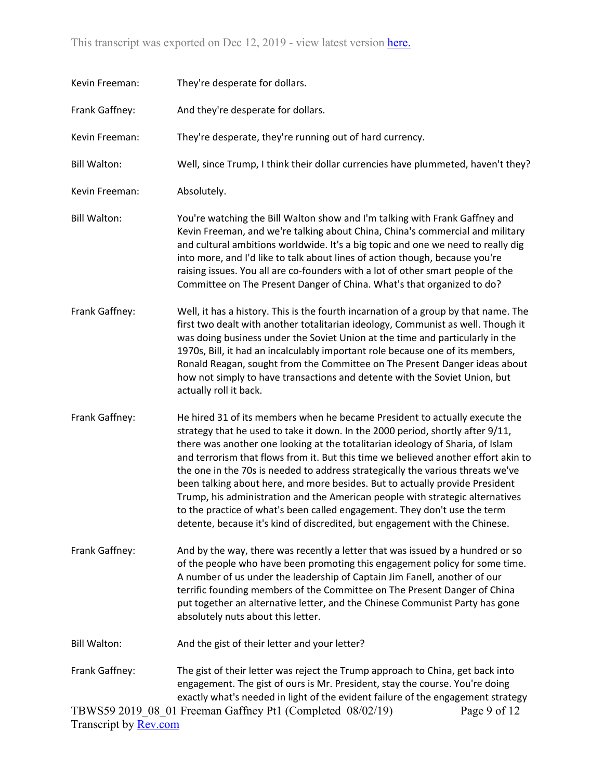| Kevin Freeman:      | They're desperate for dollars.                                                                                                                                                                                                                                                                                                                                                                                                                                                                                                                                                                                                                                                                                                                        |
|---------------------|-------------------------------------------------------------------------------------------------------------------------------------------------------------------------------------------------------------------------------------------------------------------------------------------------------------------------------------------------------------------------------------------------------------------------------------------------------------------------------------------------------------------------------------------------------------------------------------------------------------------------------------------------------------------------------------------------------------------------------------------------------|
| Frank Gaffney:      | And they're desperate for dollars.                                                                                                                                                                                                                                                                                                                                                                                                                                                                                                                                                                                                                                                                                                                    |
| Kevin Freeman:      | They're desperate, they're running out of hard currency.                                                                                                                                                                                                                                                                                                                                                                                                                                                                                                                                                                                                                                                                                              |
| <b>Bill Walton:</b> | Well, since Trump, I think their dollar currencies have plummeted, haven't they?                                                                                                                                                                                                                                                                                                                                                                                                                                                                                                                                                                                                                                                                      |
| Kevin Freeman:      | Absolutely.                                                                                                                                                                                                                                                                                                                                                                                                                                                                                                                                                                                                                                                                                                                                           |
| <b>Bill Walton:</b> | You're watching the Bill Walton show and I'm talking with Frank Gaffney and<br>Kevin Freeman, and we're talking about China, China's commercial and military<br>and cultural ambitions worldwide. It's a big topic and one we need to really dig<br>into more, and I'd like to talk about lines of action though, because you're<br>raising issues. You all are co-founders with a lot of other smart people of the<br>Committee on The Present Danger of China. What's that organized to do?                                                                                                                                                                                                                                                         |
| Frank Gaffney:      | Well, it has a history. This is the fourth incarnation of a group by that name. The<br>first two dealt with another totalitarian ideology, Communist as well. Though it<br>was doing business under the Soviet Union at the time and particularly in the<br>1970s, Bill, it had an incalculably important role because one of its members,<br>Ronald Reagan, sought from the Committee on The Present Danger ideas about<br>how not simply to have transactions and detente with the Soviet Union, but<br>actually roll it back.                                                                                                                                                                                                                      |
| Frank Gaffney:      | He hired 31 of its members when he became President to actually execute the<br>strategy that he used to take it down. In the 2000 period, shortly after 9/11,<br>there was another one looking at the totalitarian ideology of Sharia, of Islam<br>and terrorism that flows from it. But this time we believed another effort akin to<br>the one in the 70s is needed to address strategically the various threats we've<br>been talking about here, and more besides. But to actually provide President<br>Trump, his administration and the American people with strategic alternatives<br>to the practice of what's been called engagement. They don't use the term<br>detente, because it's kind of discredited, but engagement with the Chinese. |
| Frank Gaffney:      | And by the way, there was recently a letter that was issued by a hundred or so<br>of the people who have been promoting this engagement policy for some time.<br>A number of us under the leadership of Captain Jim Fanell, another of our<br>terrific founding members of the Committee on The Present Danger of China<br>put together an alternative letter, and the Chinese Communist Party has gone<br>absolutely nuts about this letter.                                                                                                                                                                                                                                                                                                         |
| <b>Bill Walton:</b> | And the gist of their letter and your letter?                                                                                                                                                                                                                                                                                                                                                                                                                                                                                                                                                                                                                                                                                                         |
| Frank Gaffney:      | The gist of their letter was reject the Trump approach to China, get back into<br>engagement. The gist of ours is Mr. President, stay the course. You're doing<br>exactly what's needed in light of the evident failure of the engagement strategy                                                                                                                                                                                                                                                                                                                                                                                                                                                                                                    |
|                     | TBWS59 2019 08 01 Freeman Gaffney Pt1 (Completed 08/02/19)<br>Page 9 of 12                                                                                                                                                                                                                                                                                                                                                                                                                                                                                                                                                                                                                                                                            |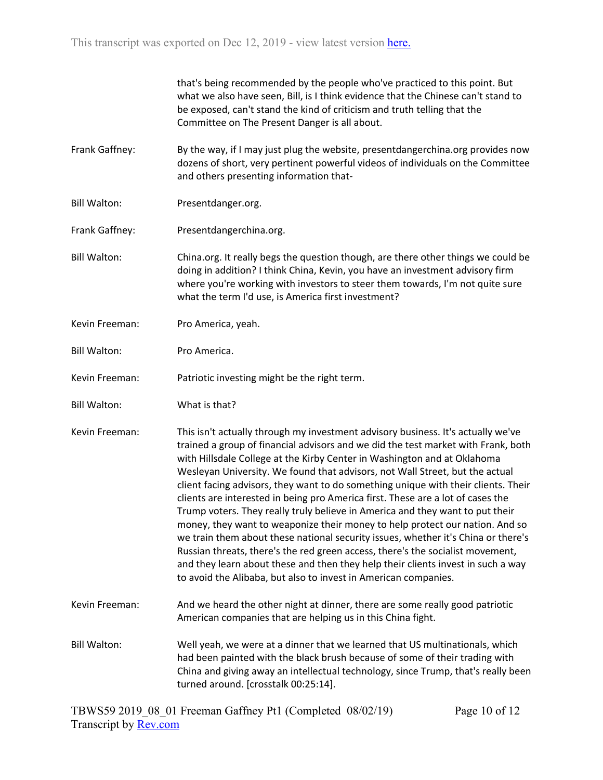|                     | that's being recommended by the people who've practiced to this point. But<br>what we also have seen, Bill, is I think evidence that the Chinese can't stand to<br>be exposed, can't stand the kind of criticism and truth telling that the<br>Committee on The Present Danger is all about.                                                                                                                                                                                                                                                                                                                                                                                                                                                                                                                                                                                                                                                                                                              |
|---------------------|-----------------------------------------------------------------------------------------------------------------------------------------------------------------------------------------------------------------------------------------------------------------------------------------------------------------------------------------------------------------------------------------------------------------------------------------------------------------------------------------------------------------------------------------------------------------------------------------------------------------------------------------------------------------------------------------------------------------------------------------------------------------------------------------------------------------------------------------------------------------------------------------------------------------------------------------------------------------------------------------------------------|
| Frank Gaffney:      | By the way, if I may just plug the website, presentdangerchina.org provides now<br>dozens of short, very pertinent powerful videos of individuals on the Committee<br>and others presenting information that-                                                                                                                                                                                                                                                                                                                                                                                                                                                                                                                                                                                                                                                                                                                                                                                             |
| <b>Bill Walton:</b> | Presentdanger.org.                                                                                                                                                                                                                                                                                                                                                                                                                                                                                                                                                                                                                                                                                                                                                                                                                                                                                                                                                                                        |
| Frank Gaffney:      | Presentdangerchina.org.                                                                                                                                                                                                                                                                                                                                                                                                                                                                                                                                                                                                                                                                                                                                                                                                                                                                                                                                                                                   |
| <b>Bill Walton:</b> | China.org. It really begs the question though, are there other things we could be<br>doing in addition? I think China, Kevin, you have an investment advisory firm<br>where you're working with investors to steer them towards, I'm not quite sure<br>what the term I'd use, is America first investment?                                                                                                                                                                                                                                                                                                                                                                                                                                                                                                                                                                                                                                                                                                |
| Kevin Freeman:      | Pro America, yeah.                                                                                                                                                                                                                                                                                                                                                                                                                                                                                                                                                                                                                                                                                                                                                                                                                                                                                                                                                                                        |
| <b>Bill Walton:</b> | Pro America.                                                                                                                                                                                                                                                                                                                                                                                                                                                                                                                                                                                                                                                                                                                                                                                                                                                                                                                                                                                              |
| Kevin Freeman:      | Patriotic investing might be the right term.                                                                                                                                                                                                                                                                                                                                                                                                                                                                                                                                                                                                                                                                                                                                                                                                                                                                                                                                                              |
| <b>Bill Walton:</b> | What is that?                                                                                                                                                                                                                                                                                                                                                                                                                                                                                                                                                                                                                                                                                                                                                                                                                                                                                                                                                                                             |
| Kevin Freeman:      | This isn't actually through my investment advisory business. It's actually we've<br>trained a group of financial advisors and we did the test market with Frank, both<br>with Hillsdale College at the Kirby Center in Washington and at Oklahoma<br>Wesleyan University. We found that advisors, not Wall Street, but the actual<br>client facing advisors, they want to do something unique with their clients. Their<br>clients are interested in being pro America first. These are a lot of cases the<br>Trump voters. They really truly believe in America and they want to put their<br>money, they want to weaponize their money to help protect our nation. And so<br>we train them about these national security issues, whether it's China or there's<br>Russian threats, there's the red green access, there's the socialist movement,<br>and they learn about these and then they help their clients invest in such a way<br>to avoid the Alibaba, but also to invest in American companies. |
| Kevin Freeman:      | And we heard the other night at dinner, there are some really good patriotic<br>American companies that are helping us in this China fight.                                                                                                                                                                                                                                                                                                                                                                                                                                                                                                                                                                                                                                                                                                                                                                                                                                                               |
| <b>Bill Walton:</b> | Well yeah, we were at a dinner that we learned that US multinationals, which<br>had been painted with the black brush because of some of their trading with<br>China and giving away an intellectual technology, since Trump, that's really been<br>turned around. [crosstalk 00:25:14].                                                                                                                                                                                                                                                                                                                                                                                                                                                                                                                                                                                                                                                                                                                  |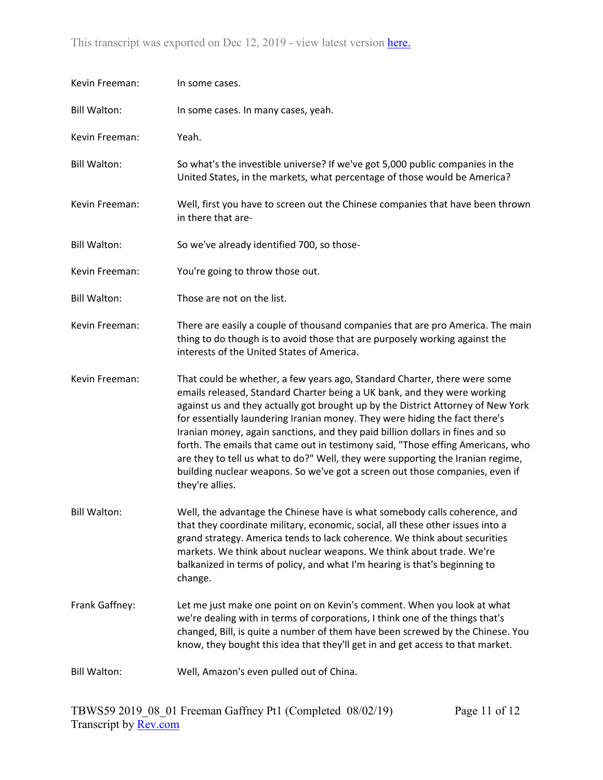| Kevin Freeman:      | In some cases.                                                                                                                                                                                                                                                                                                                                                                                                                                                                                                                                                                                                                                                                     |
|---------------------|------------------------------------------------------------------------------------------------------------------------------------------------------------------------------------------------------------------------------------------------------------------------------------------------------------------------------------------------------------------------------------------------------------------------------------------------------------------------------------------------------------------------------------------------------------------------------------------------------------------------------------------------------------------------------------|
| <b>Bill Walton:</b> | In some cases. In many cases, yeah.                                                                                                                                                                                                                                                                                                                                                                                                                                                                                                                                                                                                                                                |
| Kevin Freeman:      | Yeah.                                                                                                                                                                                                                                                                                                                                                                                                                                                                                                                                                                                                                                                                              |
| <b>Bill Walton:</b> | So what's the investible universe? If we've got 5,000 public companies in the<br>United States, in the markets, what percentage of those would be America?                                                                                                                                                                                                                                                                                                                                                                                                                                                                                                                         |
| Kevin Freeman:      | Well, first you have to screen out the Chinese companies that have been thrown<br>in there that are-                                                                                                                                                                                                                                                                                                                                                                                                                                                                                                                                                                               |
| <b>Bill Walton:</b> | So we've already identified 700, so those-                                                                                                                                                                                                                                                                                                                                                                                                                                                                                                                                                                                                                                         |
| Kevin Freeman:      | You're going to throw those out.                                                                                                                                                                                                                                                                                                                                                                                                                                                                                                                                                                                                                                                   |
| <b>Bill Walton:</b> | Those are not on the list.                                                                                                                                                                                                                                                                                                                                                                                                                                                                                                                                                                                                                                                         |
| Kevin Freeman:      | There are easily a couple of thousand companies that are pro America. The main<br>thing to do though is to avoid those that are purposely working against the<br>interests of the United States of America.                                                                                                                                                                                                                                                                                                                                                                                                                                                                        |
| Kevin Freeman:      | That could be whether, a few years ago, Standard Charter, there were some<br>emails released, Standard Charter being a UK bank, and they were working<br>against us and they actually got brought up by the District Attorney of New York<br>for essentially laundering Iranian money. They were hiding the fact there's<br>Iranian money, again sanctions, and they paid billion dollars in fines and so<br>forth. The emails that came out in testimony said, "Those effing Americans, who<br>are they to tell us what to do?" Well, they were supporting the Iranian regime,<br>building nuclear weapons. So we've got a screen out those companies, even if<br>they're allies. |
| <b>Bill Walton:</b> | Well, the advantage the Chinese have is what somebody calls coherence, and<br>that they coordinate military, economic, social, all these other issues into a<br>grand strategy. America tends to lack coherence. We think about securities<br>markets. We think about nuclear weapons. We think about trade. We're<br>balkanized in terms of policy, and what I'm hearing is that's beginning to<br>change.                                                                                                                                                                                                                                                                        |
| Frank Gaffney:      | Let me just make one point on on Kevin's comment. When you look at what<br>we're dealing with in terms of corporations, I think one of the things that's<br>changed, Bill, is quite a number of them have been screwed by the Chinese. You<br>know, they bought this idea that they'll get in and get access to that market.                                                                                                                                                                                                                                                                                                                                                       |
| <b>Bill Walton:</b> | Well, Amazon's even pulled out of China.                                                                                                                                                                                                                                                                                                                                                                                                                                                                                                                                                                                                                                           |